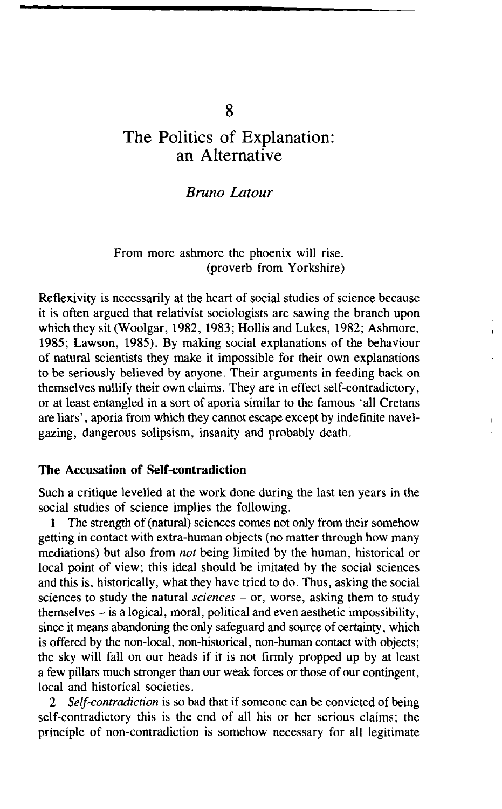# **The Politics of Explanation: an Alternative**

# *Bruno Latour*

# From more ashmore the phoenix will rise. (proverb from Yorkshire)

Reflexivity is necessarily at the heart of social studies of science because it is often argued that relativist sociologists are sawing the branch upon which they sit (Woolgar, 1982, 1983; Hollis and Lukes, 1982; Ashmore, 1985; Lawson, 1985). By making social explanations of the behaviour of natural scientists they make it impossible for their own explanations to be seriously believed by anyone. Their arguments in feeding back on themselves nullify their own claims. They are in effect self-contradictory, or at least entangled in a sort of aporia similar to the famous 'all Cretans are liars', aporia from which they cannot escape except by indefinite navelgazing, dangerous solipsism, insanity and probably death.

# **The Accusation of Self-contradiction**

Such a critique levelled at the work done during the last ten years in the social studies of science implies the following.

**1** The strength of (natural) sciences comes not only from their somehow getting in contact with extra-human objects (no matter through how many mediations) but also from *not* being limited by the human, historical or local point of view; this ideal should be imitated by the social sciences and this is, historically, what they have tried to do. Thus, asking the social sciences to study the natural *sciences* – or, worse, asking them to study themselves- is a logical, moral, political and even aesthetic impossibility, since it means abandoning the only safeguard and source of certainty, which is offered by the non-local, non-historical, non-human contact with objects; the sky will fall on our heads if it is not firmly propped up by at least a few pillars much stronger than our weak forces or those of our contingent, local and historical societies.

2 *Self-contradiction* is so bad that if someone can be convicted of being self-contradictory this is the end of all his or her serious claims; the principle of non-contradiction is somehow necessary for all legitimate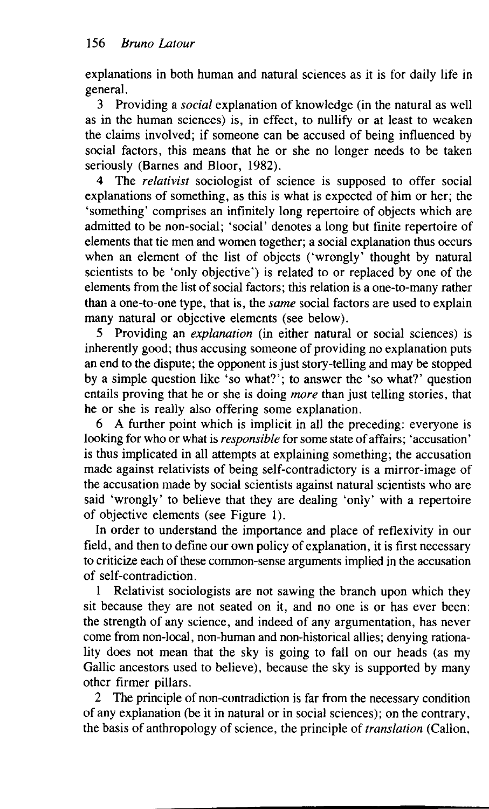explanations in both human and natural sciences as it is for daily life in general.

3 Providing a *social* explanation of knowledge (in the natural as well as in the human sciences) is, in effect, to nullify or at least to weaken the claims involved; if someone can be accused of being influenced by social factors, this means that he or she no longer needs to be taken seriously (Barnes and Bloor, 1982).

4 The *relativist* sociologist of science is supposed to offer social explanations of something, as this is what is expected of him or her; the 'something' comprises an infinitely long repertoire of objects which are admitted to be non-social; 'social' denotes a long but finite repertoire of elements that tie men and women together; a social explanation thus occurs when an element of the list of objects ('wrongly' thought by natural scientists to be 'only objective') is related to or replaced by one of the elements from the list of social factors; this relation is a one-to-many rather than a one-to-one type, that is, the *same* social factors are used to explain many natural or objective elements (see below).

5 Providing an *explanation* (in either natural or social sciences) is inherently good; thus accusing someone of providing no explanation puts an end to the dispute; the opponent is just story-telling and may be stopped by a simple question like 'so what?'; to answer the 'so what?' question entails proving that he or she is doing *more* than just telling stories, that he or she is really also offering some explanation.

6 A further point which is implicit in all the preceding: everyone is looking for who or what is *responsible* for some state of affairs; 'accusation' is thus implicated in all attempts at explaining something; the accusation made against relativists of being self-contradictory is a mirror-image of the accusation made by social scientists against natural scientists who are said 'wrongly' to believe that they are dealing 'only' with a repertoire of objective elements (see Figure 1).

In order to understand the importance and place of reflexivity in our field, and then to define our own policy of explanation, it is first necessary to criticize each of these common-sense arguments implied in the accusation of self-contradiction.

1 Relativist sociologists are not sawing the branch upon which they sit because they are not seated on it, and no one is or has ever been: the strength of any science, and indeed of any argumentation, has never come from non-local, non-human and non-historical allies; denying rationality does not mean that the sky is going to fall on our heads (as my Gallic ancestors used to believe), because the sky is supported by many other firmer pillars.

2 The principle of non-contradiction is far from the necessary condition of any explanation (be it in natural or in social sciences); on the contrary, the basis of anthropology of science, the principle of *translation* (Calion,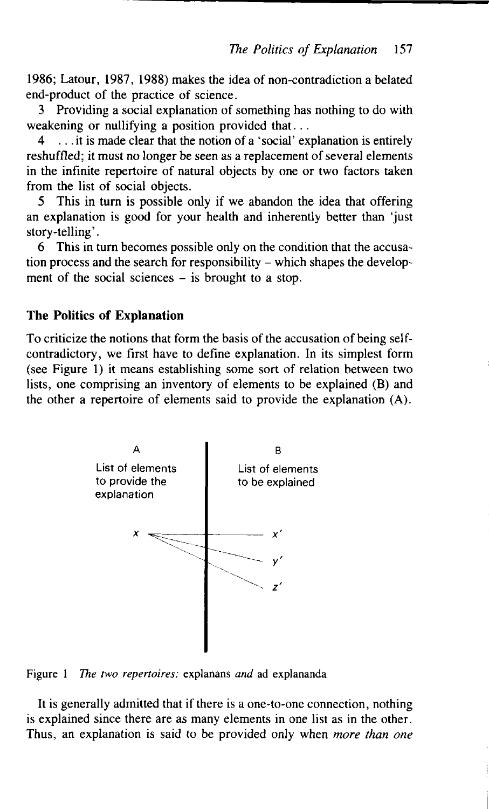1986; Latour, 1987, 1988) makes the idea of non-contradiction a belated end-product of the practice of science.

3 Providing a social explanation of something has nothing to do with weakening or nullifying a position provided that  $\dots$ 

4 ... it is made clear that the notion of a 'social' explanation is entire! y reshuffled; it must no longer be seen as a replacement of several elements in the infinite repertoire of natural objects by one or two factors taken from the list of social objects.

5 This in turn is possible only if we abandon the idea that offering an explanation is good for your health and inherently better than 'just story-telling'.

6 This in turn becomes possible only on the condition that the accusation process and the search for responsibility – which shapes the development of the social sciences – is brought to a stop.

# **The Politics of Explanation**

To criticize the notions that form the basis of the accusation of being selfcontradictory, we first have to define explanation. In its simplest form (see Figure 1) it means establishing some sort of relation between two lists, one comprising an inventory of elements to be explained (B) and the other a repertoire of elements said to provide the explanation (A).



Figure 1 *The two repertoires:* explanans *and* ad explananda

It is generally admitted that if there is a one-to-one connection, nothing is explained since there are as many elements in one list as in the other. Thus, an explanation is said to be provided only when *more than one*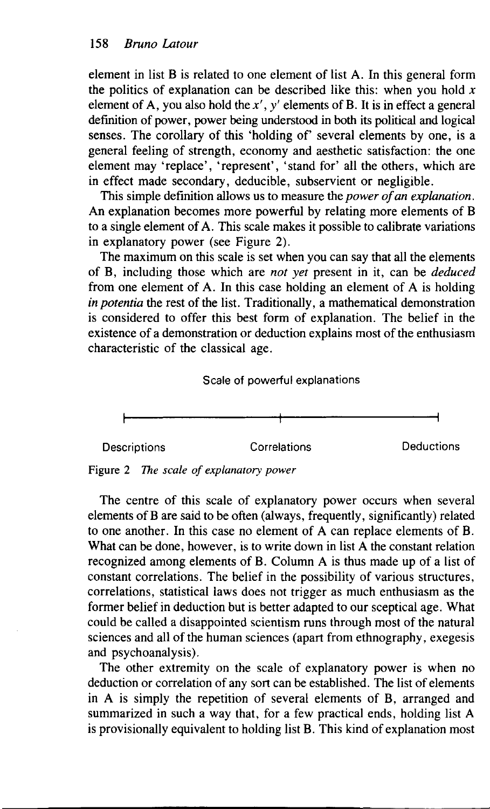element in list B is related to one element of list A. In this general form the politics of explanation can be described like this: when you hold  $x$ element of A, you also hold the *x',* y' elements of B. It is in effect a general definition of power, power being understood in both its political and logical senses. The corollary of this 'holding of' several elements by one, is a general feeling of strength, economy and aesthetic satisfaction: the one element may 'replace', 'represent', 'stand for' all the others, which are in effect made secondary, deducible, subservient or negligible.

This simple definition allows us to measure the *power of an explanation.*  An explanation becomes more powerful by relating more elements of B to a single element of A. This scale makes it possible to calibrate variations in explanatory power (see Figure 2).

The maximum on this scale is set when you can say that all the elements of B, including those which are *not yet* present in it, can be *deduced*  from one element of A. In this case holding an element of A is holding *in potentia* the rest of the list. Traditionally, a mathematical demonstration is considered to offer this best form of explanation. The belief in the existence of a demonstration or deduction explains most of the enthusiasm characteristic of the classical age.







The centre of this scale of explanatory power occurs when several elements of B are said to be often (always, frequently, significantly) related to one another. In this case no element of A can replace elements of B. What can be done, however, is to write down in list A the constant relation recognized among elements of B. Column A is thus made up of a list of constant correlations. The belief in the possibility of various structures, correlations, statistical laws does not trigger as much enthusiasm as the former belief in deduction but is better adapted to our sceptical age. What could be called a disappointed scientism runs through most of the natural sciences and all of the human sciences (apart from ethnography, exegesis and psychoanalysis).

The other extremity on the scale of explanatory power is when no deduction or correlation of any sort can be established. The list of elements in A is simply the repetition of several elements of B, arranged and summarized in such a way that, for a few practical ends, holding list A is provisionally equivalent to holding list B. This kind of explanation most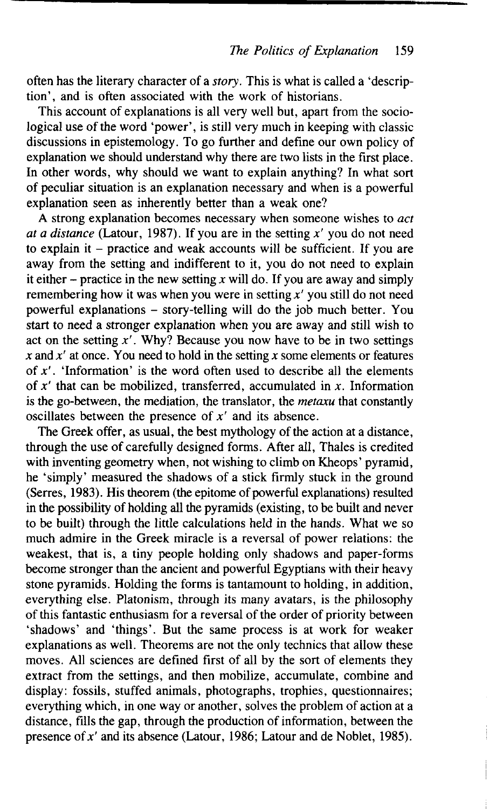often has the literary character of a *story.* This is what is called a 'description', and is often associated with the work of historians.

This account of explanations is all very well but, apart from the sociological use of the word 'power', is still very much in keeping with classic discussions in epistemology. To go further and define our own policy of explanation we should understand why there are two lists in the first place. In other words, why should we want to explain anything? In what sort of peculiar situation is an explanation necessary and when is a powerful explanation seen as inherently better than a weak one?

A strong explanation becomes necessary when someone wishes to *act at a distance* (Latour, 1987). If you are in the setting *x'* you do not need to explain it  $\overline{-}$  practice and weak accounts will be sufficient. If you are away from the setting and indifferent to it, you do not need to explain it either  $-$  practice in the new setting x will do. If you are away and simply remembering how it was when you were in setting *x'* you still do not need powerful explanations- story-telling will do the job much better. You start to need a stronger explanation when you are away and still wish to act on the setting  $x'$ . Why? Because you now have to be in two settings  $\bar{x}$  and  $\bar{x}'$  at once. You need to hold in the setting  $\bar{x}$  some elements or features of  $x'$ . 'Information' is the word often used to describe all the elements of *x'* that can be mobilized, transferred, accumulated in *x.* Information is the go-between, the mediation, the translator, the *metaxu* that constantly oscillates between the presence of  $x'$  and its absence.

The Greek offer, as usual, the best mythology of the action at a distance, through the use of carefully designed forms. After all, Thales is credited with inventing geometry when, not wishing to climb on Kheops' pyramid, he 'simply' measured the shadows of a stick firmly stuck in the ground (Serres, 1983). His theorem (the epitome of powerful explanations) resulted in the possibility of holding all the pyramids (existing, to be built and never to be built) through the little calculations held in the hands. What we so much admire in the Greek miracle is a reversal of power relations: the weakest, that is, a tiny people holding only shadows and paper-forms become stronger than the ancient and powerful Egyptians with their heavy stone pyramids. Holding the forms is tantamount to holding, in addition, everything else. Platonism, through its many avatars, is the philosophy of this fantastic enthusiasm for a reversal of the order of priority between 'shadows' and 'things'. But the same process is at work for weaker explanations as well. Theorems are not the only technics that allow these moves. All sciences are defined first of all by the sort of elements they extract from the settings, and then mobilize, accumulate, combine and display: fossils, stuffed animals, photographs, trophies, questionnaires; everything which, in one way or another, solves the problem of action at a distance, fills the gap, through the production of information, between the presence of *x'* and its absence (Latour, 1986; Latour and de Noblet, 1985).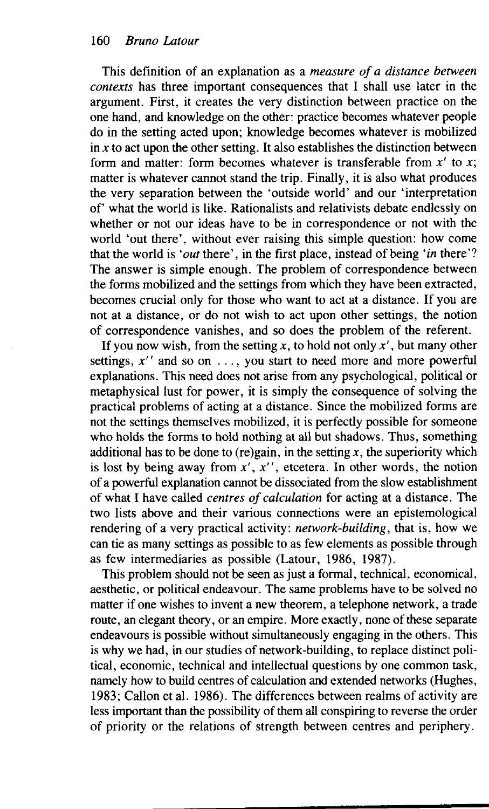This definition of an explanation as a *measure of a distance between contexts* has three important consequences that I shall use later in the argument. First, it creates the very distinction between practice on the one hand, and knowledge on the other: practice becomes whatever people do in the setting acted upon; knowledge becomes whatever is mobilized in  $x$  to act upon the other setting. It also establishes the distinction between form and matter: form becomes whatever is transferable from *x'* to *x;*  matter is whatever cannot stand the trip. Finally, it is also what produces the very separation between the 'outside world' and our 'interpretation of' what the world is like. Rationalists and relativists debate endlessly on whether or not our ideas have to be in correspondence or not with the world 'out there', without ever raising this simple question: how come that the world is *'out* there', in the first place, instead of being *'in* there'? The answer is simple enough. The problem of correspondence between the forms mobilized and the settings from which they have been extracted, becomes crucial only for those who want to act at a distance. If you are not at a distance, or do not wish to act upon other settings, the notion of correspondence vanishes, and so does the problem of the referent.

If you now wish, from the setting *x*, to hold not only *x'*, but many other settings, *x''* and so on ... , you start to need more and more powerful explanations. This need does not arise from any psychological, political or metaphysical lust for power, it is simply the consequence of solving the practical problems of acting at a distance. Since the mobilized forms are not the settings themselves mobilized, it is perfectly possible for someone who holds the forms to hold nothing at all but shadows. Thus, something additional has to be done to (re)gain, in the setting  $x$ , the superiority which is lost by being away from  $x'$ ,  $x''$ , etcetera. In other words, the notion of a powerful explanation cannot be dissociated from the slow establishment of what I have called *centres of calculation* for acting at a distance. The two lists above and their various connections were an epistemological rendering of a very practical activity: *network-building,* that is, how we can tie as many settings as possible to as few elements as possible through as few intermediaries as possible (Latour, 1986, 1987).

This problem should not be seen as just a formal, technical, economical, aesthetic, or political endeavour. The same problems have to be solved no matter if one wishes to invent a new theorem, a telephone network, a trade route, an elegant theory, or an empire. More exactly, none of these separate endeavours is possible without simultaneously engaging in the others. This is why we had, in our studies of network-building, to replace distinct political, economic, technical and intellectual questions by one common task, namely how to build centres of calculation and extended networks (Hughes, 1983; Calion et al. 1986). The differences between realms of activity are less important than the possibility of them all conspiring to reverse the order of priority or the relations of strength between centres and periphery.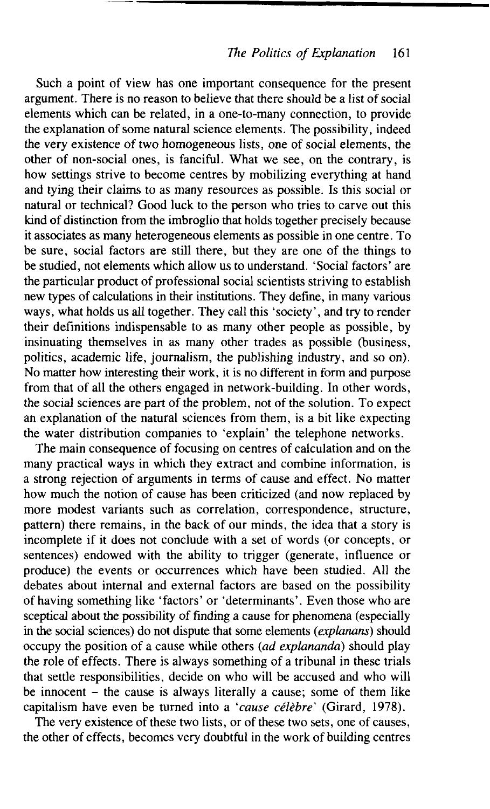Such a point of view has one important consequence for the present argument. There is no reason to believe that there should be a list of social elements which can be related, in a one-to-many connection, to provide the explanation of some natural science elements. The possibility, indeed the very existence of two homogeneous lists, one of social elements, the other of non-social ones, is fanciful. What we see, on the contrary, is how settings strive to become centres by mobilizing everything at hand and tying their claims to as many resources as possible. Is this social or natural or technical? Good luck to the person who tries to carve out this kind of distinction from the imbroglio that holds together precisely because it associates as many heterogeneous elements as possible in one centre. To be sure, social factors are still there, but they are one of the things to be studied, not elements which allow us to understand. 'Social factors' are the particular product of professional social scientists striving to establish new types of calculations in their institutions. They defme, in many various ways, what holds us all together. They call this 'society', and try to render their definitions indispensable to as many other people as possible, by insinuating themselves in as many other trades as possible (business, politics, academic life, journalism, the publishing industry, and so on). No matter how interesting their work, it is no different in form and purpose from that of all the others engaged in network-building. In other words, the social sciences are part of the problem, not of the solution. To expect an explanation of the natural sciences from them, is a bit like expecting the water distribution companies to 'explain' the telephone networks.

The main consequence of focusing on centres of calculation and on the many practical ways in which they extract and combine information, is a strong rejection of arguments in terms of cause and effect. No matter how much the notion of cause has been criticized (and now replaced by more modest variants such as correlation, correspondence, structure, pattern) there remains, in the back of our minds, the idea that a story is incomplete if it does not conclude with a set of words (or concepts, or sentences) endowed with the ability to trigger (generate, influence or produce) the events or occurrences which have been studied. All the debates about internal and external factors are based on the possibility of having something like 'factors' or 'determinants'. Even those who are sceptical about the possibility of finding a cause for phenomena (especially in the social sciences) do not dispute that some elements *(explanans)* should occupy the position of a cause while others *(ad explananda)* should play the role of effects. There is always something of a tribunal in these trials that settle responsibilities, decide on who will be accused and who will be innocent - the cause is always literally a cause; some of them like capitalism have even be turned into a *'cause celebre'* (Girard, 1978).

The very existence of these two lists, or of these two sets, one of causes, the other of effects, becomes very doubtful in the work of building centres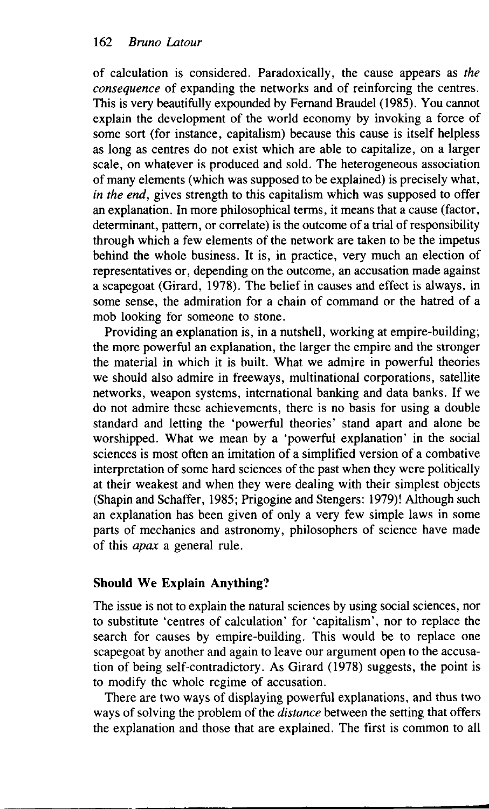of calculation is considered. Paradoxically, the cause appears as *the consequence* of expanding the networks and of reinforcing the centres. This is very beautifully expounded by Fernand Braudel (1985). You cannot explain the development of the world economy by invoking a force of some sort (for instance, capitalism) because this cause is itself helpless as long as centres do not exist which are able to capitalize, on a larger scale, on whatever is produced and sold. The heterogeneous association of many elements (which was supposed to be explained) is precisely what, *in the end*, gives strength to this capitalism which was supposed to offer an explanation. In more philosophical terms, it means that a cause (factor, determinant, pattern, or correlate) is the outcome of a trial of responsibility through which a few elements of the network are taken to be the impetus behind the whole business. It is, in practice, very much an election of representatives or, depending on the outcome, an accusation made against a scapegoat (Girard, 1978). The belief in causes and effect is always, in some sense, the admiration for a chain of command or the hatred of a mob looking for someone to stone.

Providing an explanation is, in a nutshell, working at empire-building; the more powerful an explanation, the larger the empire and the stronger the material in which it is built. What we admire in powerful theories we should also admire in freeways, multinational corporations, satellite networks, weapon systems, international banking and data banks. If we do not admire these achievements, there is no basis for using a double standard and letting the 'powerful theories' stand apart and alone be worshipped. What we mean by a 'powerful explanation' in the social sciences is most often an imitation of a simplified version of a combative interpretation of some hard sciences of the past when they were politically at their weakest and when they were dealing with their simplest objects (Shapin and Schaffer, 1985; Prigogine and Stengers: 1979)! Although such an explanation has been given of only a very few simple laws in some parts of mechanics and astronomy, philosophers of science have made of this *apax* a general rule.

# **Should We Explain Anything?**

The issue is not to explain the natural sciences by using social sciences, nor to substitute 'centres of calculation' for 'capitalism', nor to replace the search for causes by empire-building. This would be to replace one scapegoat by another and again to leave our argument open to the accusation of being self-contradictory. As Girard (1978) suggests, the point is to modify the whole regime of accusation.

There are two ways of displaying powerful explanations, and thus two ways of solving the problem of the *distance* between the setting that offers the explanation and those that are explained. The first is common to all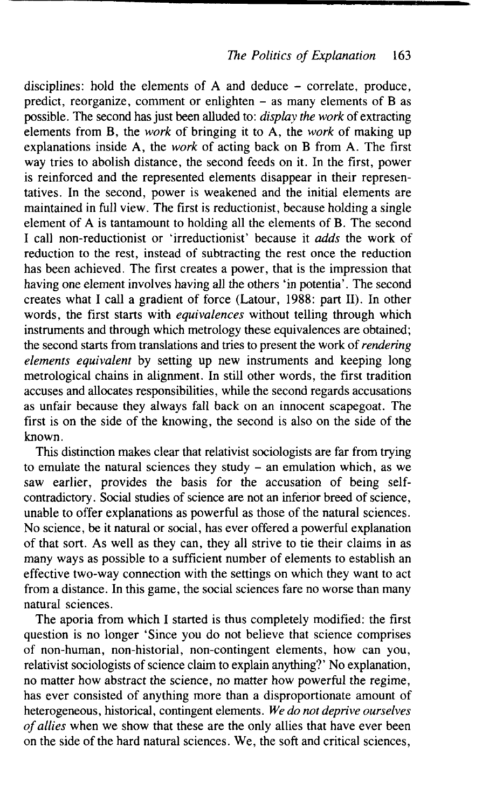disciplines: hold the elements of A and deduce - correlate, produce, predict, reorganize, comment or enlighten - as many elements of B as possible. The second has just been alluded to: *display the work* of extracting elements from B, the *work* of bringing it to A, the *work* of making up explanations inside A, the *work* of acting back on B from A. The first way tries to abolish distance, the second feeds on it. In the first, power is reinforced and the represented elements disappear in their representatives. In the second, power is weakened and the initial elements are maintained in full view. The first is reductionist, because holding a single element of A is tantamount to holding all the elements of B. The second I call non-reductionist or 'irreductionist' because it *adds* the work of reduction to the rest, instead of subtracting the rest once the reduction has been achieved. The first creates a power, that is the impression that having one element involves having all the others 'in potentia'. The second creates what I call a gradient of force (Latour, 1988: part II). In other words, the first starts with *equivalences* without telling through which instruments and through which metrology these equivalences are obtained; the second starts from translations and tries to present the work of *rendering elements equivalent* by setting up new instruments and keeping long metrological chains in alignment. In still other words, the first tradition accuses and allocates responsibilities, while the second regards accusations as unfair because they always fall back on an innocent scapegoat. The first is on the side of the knowing, the second is also on the side of the known.

This distinction makes clear that relativist sociologists are far from trying to emulate the natural sciences they study - an emulation which, as we saw earlier, provides the basis for the accusation of being selfcontradictory. Social studies of science are not an inferior breed of science, unable to offer explanations as powerful as those of the natural sciences. No science, be it natural or social, has ever offered a powerful explanation of that sort. As well as they can, they all strive to tie their claims in as many ways as possible to a sufficient number of elements to establish an effective two-way connection with the settings on which they want to act from a distance. In this game, the social sciences fare no worse than many natural sciences.

The aporia from which I started is thus completely modified: the first question is no longer 'Since you do not believe that science comprises of non-human, non-historial, non-contingent elements, how can you, relativist sociologists of science claim to explain anything?' No explanation, no matter how abstract the science, no matter how powerful the regime, has ever consisted of anything more than a disproportionate amount of heterogeneous, historical, contingent elements. *We do not deprive ourselves of allies* when we show that these are the only allies that have ever been on the side of the hard natural sciences. We, the soft and critical sciences,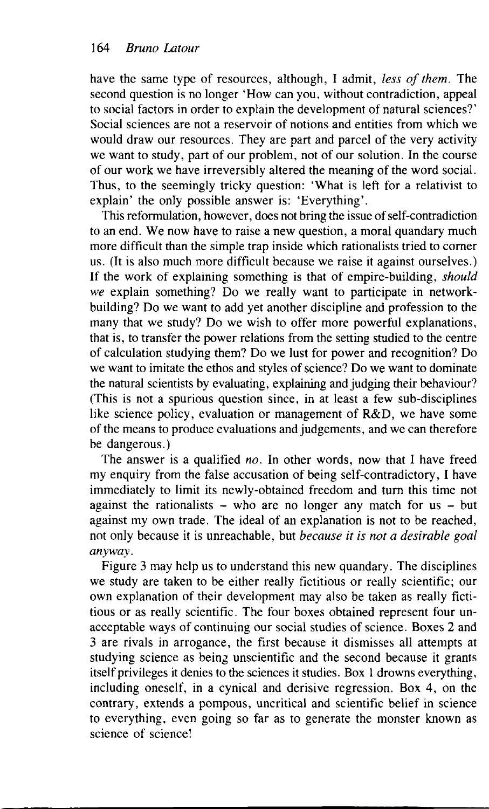have the same type of resources, although, I admit, *less of them.* The second question is no longer 'How can you, without contradiction, appeal to social factors in order to explain the development of natural sciences?' Social sciences are not a reservoir of notions and entities from which we would draw our resources. They are part and parcel of the very activity we want to study, part of our problem, not of our solution. In the course of our work we have irreversibly altered the meaning of the word social. Thus, to the seemingly tricky question: 'What is left for a relativist to explain' the only possible answer is: 'Everything'.

This reformulation, however, does not bring the issue of self-contradiction to an end. We now have to raise a new question, a moral quandary much more difficult than the simple trap inside which rationalists tried to comer us. (It is also much more difficult because we raise it against ourselves.) If the work of explaining something is that of empire-building, *should we* explain something? Do we really want to participate in networkbuilding? Do we want to add yet another discipline and profession to the many that we study? Do we wish to offer more powerful explanations, that is, to transfer the power relations from the setting studied to the centre of calculation studying them? Do we lust for power and recognition? Do we want to imitate the ethos and styles of science? Do we want to dominate the natural scientists by evaluating, explaining and judging their behaviour? (This is not a spurious question since, in at least a few sub-disciplines like science policy, evaluation or management of R&D, we have some of the means to produce evaluations and judgements, and we can therefore be dangerous.)

The answer is a qualified *no.* In other words, now that I have freed my enquiry from the false accusation of being self-contradictory, I have immediately to limit its newly-obtained freedom and turn this time not against the rationalists  $-$  who are no longer any match for us  $-$  but against my own trade. The ideal of an explanation is not to be reached, not only because it is unreachable, but *because it* is *not a desirable goal anyway.* 

Figure 3 may help us to understand this new quandary. The disciplines we study are taken to be either really fictitious or really scientific; our own explanation of their development may also be taken as really fictitious or as really scientific. The four boxes obtained represent four unacceptable ways of continuing our social studies of science. Boxes 2 and 3 are rivals in arrogance, the first because it dismisses all attempts at studying science as being unscientific and the second because it grants itself privileges it denies to the sciences it studies. Box 1 drowns everything, including oneself, in a cynical and derisive regression. Box 4, on the contrary, extends a pompous, uncritical and scientific belief in science to everything, even going so far as to generate the monster known as science of science!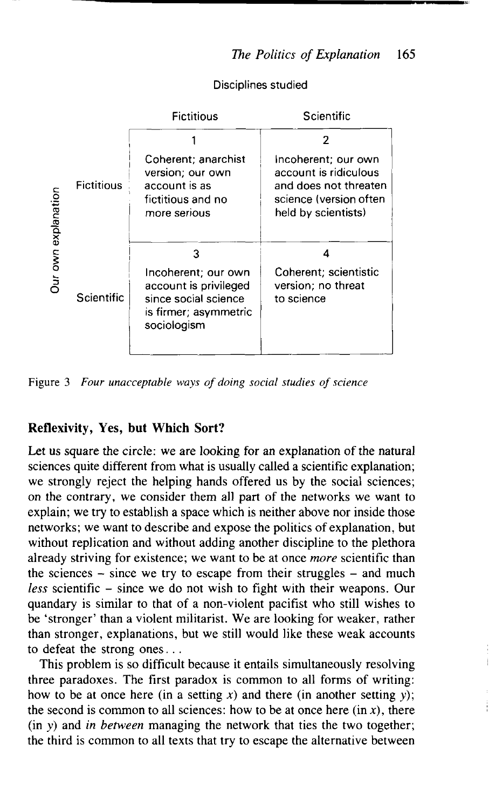#### Disciplines studied



Figure 3 *Four unacceptable ways of doing social studies of science* 

# **Reflexivity,** Yes, **but Which Sort?**

Let us square the circle: we are looking for an explanation of the natural sciences quite different from what is usually called a scientific explanation; we strongly reject the helping hands offered us by the social sciences; on the contrary, we consider them all part of the networks we want to explain; we try to establish a space which is neither above nor inside those networks; we want to describe and expose the politics of explanation, but without replication and without adding another discipline to the plethora already striving for existence; we want to be at once *more* scientific than the sciences  $-$  since we try to escape from their struggles  $-$  and much *less* scientific – since we do not wish to fight with their weapons. Our quandary is similar to that of a non-violent pacifist who still wishes to be 'stronger' than a violent militarist. We are looking for weaker, rather than stronger, explanations, but we still would like these weak accounts to defeat the strong ones ...

This problem is so difficult because it entails simultaneously resolving three paradoxes. The first paradox is common to all forms of writing: how to be at once here (in a setting x) and there (in another setting y); the second is common to all sciences: how to be at once here  $(in x)$ , there (in y) and *in between* managing the network that ties the two together; the third is common to all texts that try to escape the alternative between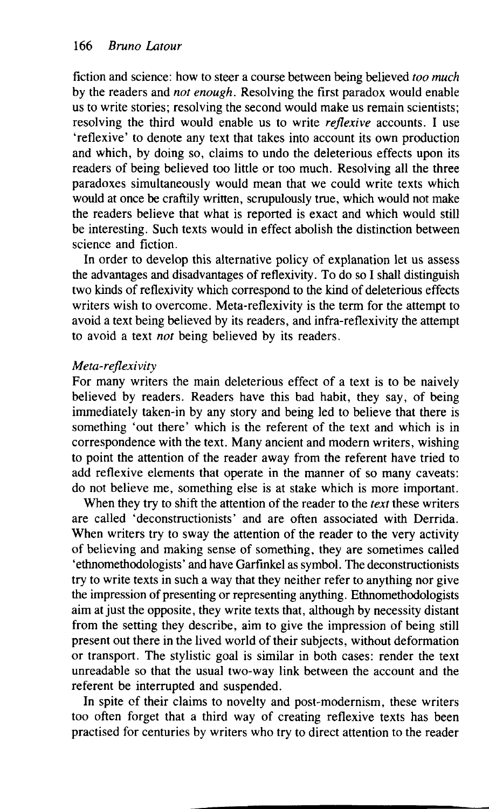fiction and science: how to steer a course between being believed *too much*  by the readers and *not enough.* Resolving the first paradox would enable us to write stories; resolving the second would make us remain scientists; resolving the third would enable us to write *reflexive* accounts. I use 'reflexive' to denote any text that takes into account its own production and which, by doing so, claims to undo the deleterious effects upon its readers of being believed too little or too much. Resolving all the three paradoxes simultaneously would mean that we could write texts which would at once be craftily written, scrupulously true, which would not make the readers believe that what is reported is exact and which would still be interesting. Such texts would in effect abolish the distinction between science and fiction.

In order to develop this alternative policy of explanation let us assess the advantages and disadvantages of reflexivity. To do so I shall distinguish two kinds of reflexivity which correspond to the kind of deleterious effects writers wish to overcome. Meta-reflexivity is the term for the attempt to avoid a text being believed by its readers, and infra-reflexivity the attempt to avoid a text *not* being believed by its readers.

#### *Meta-reflexivity*

For many writers the main deleterious effect of a text is to be naively believed by readers. Readers have this bad habit, they say, of being immediately taken-in by any story and being led to believe that there is something 'out there' which is the referent of the text and which is in correspondence with the text. Many ancient and modern writers, wishing to point the attention of the reader away from the referent have tried to add reflexive elements that operate in the manner of so many caveats: do not believe me, something else is at stake which is more important.

When they try to shift the attention of the reader to the *text* these writers are called 'deconstructionists' and are often associated with Derrida. When writers try to sway the attention of the reader to the very activity of believing and making sense of something, they are sometimes called 'ethnomethodologists' and have Garfinkel as symbol. The deconstructionists try to write texts in such a way that they neither refer to anything nor give the impression of presenting or representing anything. Ethnomethodologists aim at just the opposite, they write texts that, although by necessity distant from the setting they describe, aim to give the impression of being still present out there in the lived world of their subjects, without deformation or transport. The stylistic goal is similar in both cases: render the text unreadable so that the usual two-way link between the account and the referent be interrupted and suspended.

In spite of their claims to novelty and post-modernism, these writers too often forget that a third way of creating reflexive texts has been practised for centuries by writers who try to direct attention to the reader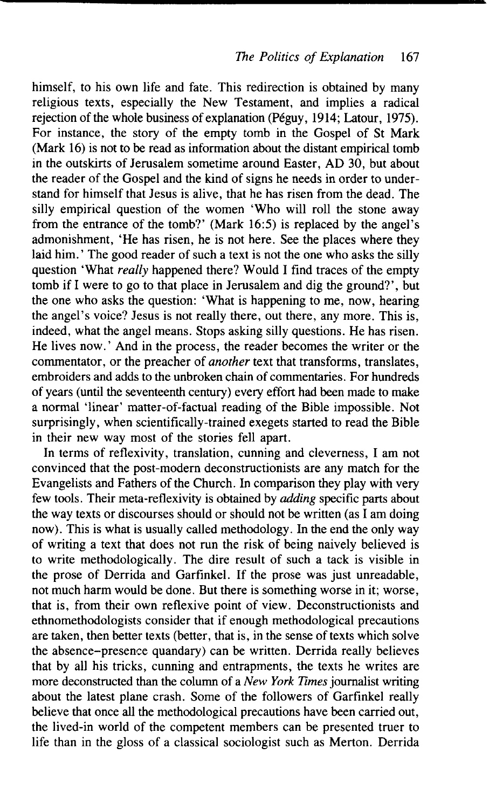himself, to his own life and fate. This redirection is obtained by many religious texts, especially the New Testament, and implies a radical rejection of the whole business of explanation (Péguy, 1914; Latour, 1975). For instance, the story of the empty tomb in the Gospel of St Mark (Mark 16) is not to be read as information about the distant empirical tomb in the outskirts of Jerusalem sometime around Easter, AD 30, but about the reader of the Gospel and the kind of signs he needs in order to understand for himself that Jesus is alive, that he has risen from the dead. The silly empirical question of the women 'Who will roll the stone away from the entrance of the tomb?' (Mark 16:5) is replaced by the angel's admonishment, 'He has risen, he is not here. See the places where they laid him.' The good reader of such a text is not the one who asks the silly question 'What *really* happened there? Would I find traces of the empty tomb if I were to go to that place in Jerusalem and dig the ground?', but the one who asks the question: 'What is happening to me, now, hearing the angel's voice? Jesus is not really there, out there, any more. This is, indeed, what the angel means. Stops asking silly questions. He has risen. He lives now.' And in the process, the reader becomes the writer or the commentator, or the preacher of *another* text that transforms, translates, embroiders and adds to the unbroken chain of commentaries. For hundreds of years (until the seventeenth century) every effort had been made to make a normal 'linear' matter-of-factual reading of the Bible impossible. Not surprisingly, when scientifically-trained exegets started to read the Bible in their new way most of the stories fell apart.

In terms of reflexivity, translation, cunning and cleverness, I am not convinced that the post-modern deconstructionists are any match for the Evangelists and Fathers of the Church. In comparison they play with very few tools. Their meta-reflexivity is obtained by *adding* specific parts about the way texts or discourses should or should not be written (as  $\overline{I}$  am doing now). This is what is usually called methodology. In the end the only way of writing a text that does not run the risk of being naively believed is to write methodologically. The dire result of such a tack is visible in the prose of Derrida and Garfinkel. If the prose was just unreadable, not much harm would be done. But there is something worse in it; worse, that is, from their own reflexive point of view. Deconstructionists and ethnomethodologists consider that if enough methodological precautions are taken, then better texts (better, that is, in the sense of texts which solve the absence-presence quandary) can be written. Derrida really believes that by all his tricks, cunning and entrapments, the texts he writes are more deconstructed than the column of a *New York Times* journalist writing about the latest plane crash. Some of the followers of Garfinkel really believe that once all the methodological precautions have been carried out, the lived-in world of the competent members can be presented truer to life than in the gloss of a classical sociologist such as Merton. Derrida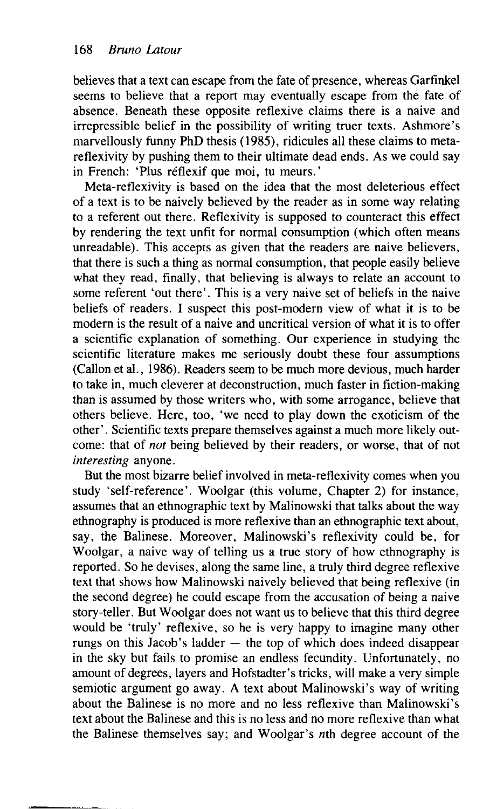believes that a text can escape from the fate of presence, whereas Garfinkel seems to believe that a report may eventually escape from the fate of absence. Beneath these opposite reflexive claims there is a naive and irrepressible belief in the possibility of writing truer texts. Ashmore's marvellously funny PhD thesis (1985), ridicules all these claims to metareflexivity by pushing them to their ultimate dead ends. As we could say in French: 'Plus réflexif que moi, tu meurs.'

Meta-reflexivity is based on the idea that the most deleterious effect of a text is to be naively believed by the reader as in some way relating to a referent out there. Reflexivity is supposed to counteract this effect by rendering the text unfit for normal consumption (which often means unreadable). This accepts as given that the readers are naive believers, that there is such a thing as normal consumption, that people easily believe what they read, finally, that believing is always to relate an account to some referent 'out there'. This is a very naive set of beliefs in the naive beliefs of readers. I suspect this post-modem view of what it is to be modem is the result of a naive and uncritical version of what it is to offer a scientific explanation of something. Our experience in studying the scientific literature makes me seriously doubt these four assumptions (Calion et al., 1986). Readers seem to be much more devious, much harder to take in, much cleverer at deconstruction, much faster in fiction-making than is assumed by those writers who, with some arrogance, believe that others believe. Here, too, 'we need to play down the exoticism of the other'. Scientific texts prepare themselves against a much more likely outcome: that of *not* being believed by their readers, or worse, that of not *interesting* anyone.

But the most bizarre belief involved in meta-reflexivity comes when you study 'self-reference'. Woolgar (this volume, Chapter 2) for instance, assumes that an ethnographic text by Malinowski that talks about the way ethnography is produced is more reflexive than an ethnographic text about, say, the Balinese. Moreover, Malinowski's reflexivity could be, for Woolgar, a naive way of telling us a true story of how ethnography is reported. So he devises, along the same line, a truly third degree reflexive text that shows how Malinowski naively believed that being reflexive (in the second degree) he could escape from the accusation of being a naive story-teller. But Woolgar does not want us to believe that this third degree would be 'truly' reflexive, so he is very happy to imagine many other rungs on this Jacob's ladder  $-$  the top of which does indeed disappear in the sky but fails to promise an endless fecundity. Unfortunately, no amount of degrees, layers and Hofstadter's tricks, will make a very simple semiotic argument go away. A text about Malinowski's way of writing about the Balinese is no more and no less reflexive than Malinowski's text about the Balinese and this is no less and no more reflexive than what the Balinese themselves say; and Woolgar's nth degree account of the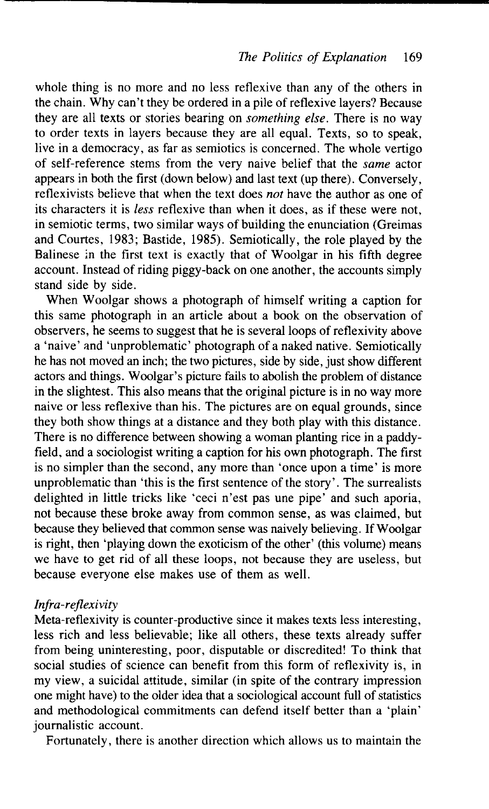whole thing is no more and no less reflexive than any of the others in the chain. Why can't they be ordered in a pile of reflexive layers? Because they are all texts or stories bearing on *something else.* There is no way to order texts in layers because they are all equal. Texts, so to speak, live in a democracy, as far as semiotics is concerned. The whole vertigo of self-reference stems from the very naive belief that the *same* actor appears in both the first (down below) and last text (up there). Conversely, reflexivists believe that when the text does *not* have the author as one of its characters it is *less* reflexive than when it does, as if these were not, in semiotic terms, two similar ways of building the enunciation (Greimas and Courtes, 1983; Bastide, 1985). Semiotically, the role played by the Balinese in the first text is exactly that of Woolgar in his fifth degree account. Instead of riding piggy-back on one another, the accounts simply stand side by side.

When Woolgar shows a photograph of himself writing a caption for this same photograph in an article about a book on the observation of observers, he seems to suggest that he is several loops of reflexivity above a 'naive' and 'unproblematic' photograph of a naked native. Semiotically he has not moved an inch; the two pictures, side by side, just show different actors and things. Woolgar's picture fails to abolish the problem of distance in the slightest. This also means that the original picture is in no way more naive or less reflexive than his. The pictures are on equal grounds, since they both show things at a distance and they both play with this distance. There is no difference between showing a woman planting rice in a paddyfield, and a sociologist writing a caption for his own photograph. The first is no simpler than the second, any more than 'once upon a time' is more unproblematic than 'this is the first sentence of the story'. The surrealists delighted in little tricks like 'ceci n'est pas une pipe' and such aporia, not because these broke away from common sense, as was claimed, but because they believed that common sense was naively believing. If Woolgar is right, then 'playing down the exoticism of the other' (this volume) means we have to get rid of all these loops, not because they are useless, but because everyone else makes use of them as well.

#### *Infra-reflexivity*

Meta-reflexivity is counter-productive since it makes texts less interesting, less rich and less believable; like all others, these texts already suffer from being uninteresting, poor, disputable or discredited! To think that social studies of science can benefit from this form of reflexivity is, in my view, a suicidal attitude, similar (in spite of the contrary impression one might have) to the older idea that a sociological account full of statistics and methodological commitments can defend itself better than a 'plain' journalistic account.

Fortunately, there is another direction which allows us to maintain the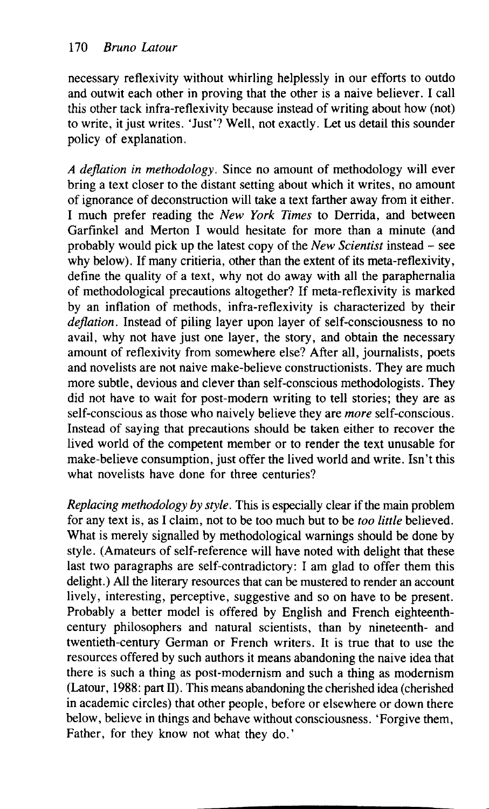necessary reflexivity without whirling helplessly in our efforts to outdo and outwit each other in proving that the other is a naive believer. I call this other tack infra-reflexivity because instead of writing about how (not) to write, it just writes. 'Just'? Well, not exactly. Let us detail this sounder policy of explanation.

*A deflation in methodology.* Since no amount of methodology will ever bring a text closer to the distant setting about which it writes, no amount of ignorance of deconstruction will take a text farther away from it either. I much prefer reading the *New York Times* to Derrida, and between Garfinkel and Merton I would hesitate for more than a minute (and probably would pick up the latest copy of the *New Scientist* instead - see why below). If many critieria, other than the extent of its meta-reflexivity, define the quality of a text, why not do away with all the paraphernalia of methodological precautions altogether? If meta-reflexivity is marked by an inflation of methods, infra-reflexivity is characterized by their *deflation.* Instead of piling layer upon layer of self-consciousness to no avail, why not have just one layer, the story, and obtain the necessary amount of reflexivity from somewhere else? After all, journalists, poets and novelists are not naive make-believe constructionists. They are much more subtle, devious and clever than self-conscious methodologists. They did not have to wait for post-modem writing to tell stories; they are as self-conscious as those who naively believe they are *more* self-conscious. Instead of saying that precautions should be taken either to recover the lived world of the competent member or to render the text unusable for make-believe consumption, just offer the lived world and write. Isn't this what novelists have done for three centuries?

*Replacing methodology by style.* This is especially clear if the main problem for any text is, as I claim, not to be too much but to be *too little* believed. What is merely signalled by methodological warnings should be done by style. (Amateurs of self-reference will have noted with delight that these last two paragraphs are self-contradictory: I am glad to offer them this delight.) All the literary resources that can be mustered to render an account lively, interesting, perceptive, suggestive and so on have to be present. Probably a better model is offered by English and French eighteenthcentury philosophers and natural scientists, than by nineteenth- and twentieth-century German or French writers. It is true that to use the resources offered by such authors it means abandoning the naive idea that there is such a thing as post-modernism and such a thing as modernism (Latour, 1988: part II). This means abandoning the cherished idea (cherished in academic circles) that other people, before or elsewhere or down there below, believe in things and behave without consciousness. 'Forgive them, Father, for they know not what they do.'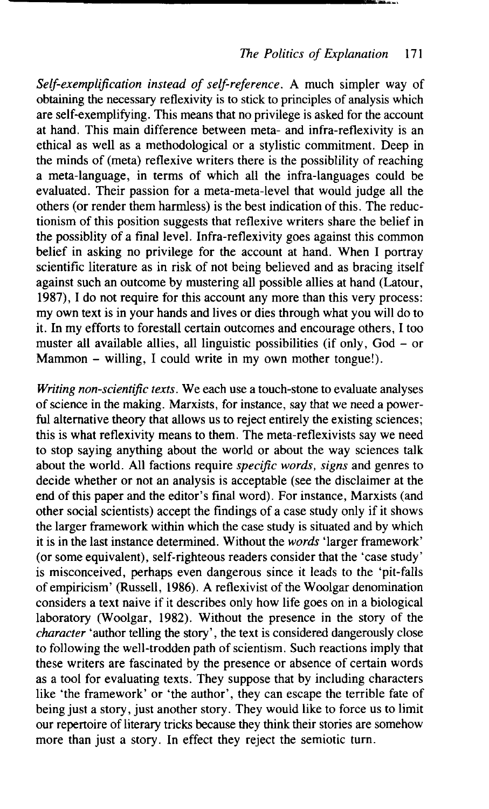*Self-exemplification instead of self-reference.* A much simpler way of obtaining the necessary reflexivity is to stick to principles of analysis which are self-exemplifying. This means that no privilege is asked for the account at hand. This main difference between meta- and infra-reflexivity is an ethical as well as a methodological or a stylistic commitment. Deep in the minds of (meta) reflexive writers there is the possiblility of reaching a meta-language, in terms of which all the infra-languages could be evaluated. Their passion for a meta-meta-level that would judge all the others (or render them harmless) is the best indication of this. The reductionism of this position suggests that reflexive writers share the belief in the possiblity of a final level. Infra-reflexivity goes against this common belief in asking no privilege for the account at hand. When I portray scientific literature as in risk of not being believed and as bracing itself against such an outcome by mustering all possible allies at hand (Latour, 1987), I do not require for this account any more than this very process: my own text is in your hands and lives or dies through what you will do to it. In my efforts to forestall certain outcomes and encourage others, I too muster all available allies, all linguistic possibilities (if only, God – or Mammon – willing, I could write in my own mother tongue!).

*Writing non-scientific texts.* We each use a touch-stone to evaluate analyses of science in the making. Marxists, for instance, say that we need a powerful alternative theory that allows us to reject entirely the existing sciences; this is what reflexivity means to them. The meta-reflexivists say we need to stop saying anything about the world or about the way sciences talk about the world. All factions require *specific words, signs* and genres to decide whether or not an analysis is acceptable (see the disclaimer at the end of this paper and the editor's final word). For instance, Marxists (and other social scientists) accept the findings of a case study only if it shows the larger framework within which the case study is situated and by which it is in the last instance determined. Without the *words* 'larger framework' (or some equivalent), self-righteous readers consider that the 'case study' is misconceived, perhaps even dangerous since it leads to the 'pit-falls of empiricism' (Russell, 1986). A reflexivist of the Woolgar denomination considers a text naive if it describes only how life goes on in a biological laboratory (Woolgar, 1982). Without the presence in the story of the *character* 'author telling the story', the text is considered dangerously close to following the well-trodden path of scientism. Such reactions imply that these writers are fascinated by the presence or absence of certain words as a tool for evaluating texts. They suppose that by including characters like 'the framework' or 'the author', they can escape the terrible fate of being just a story, just another story. They would like to force us to limit our repertoire of literary tricks because they think their stories are somehow more than just a story. In effect they reject the semiotic turn.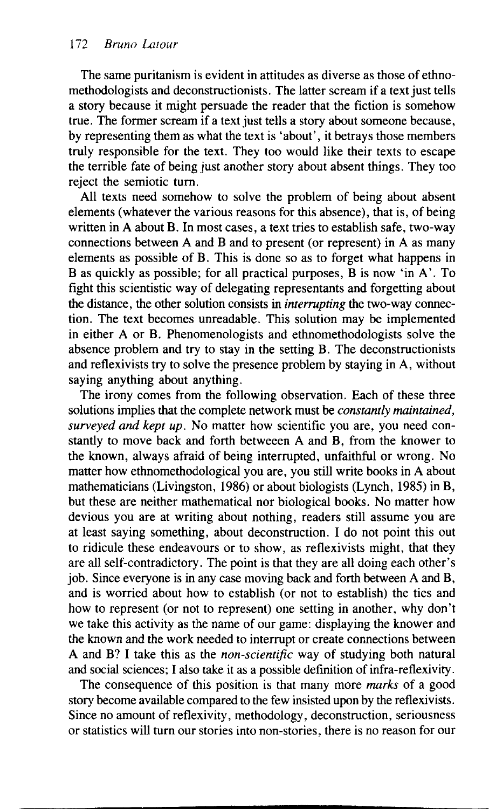The same puritanism is evident in attitudes as diverse as those of ethnomethodologists and deconstructionists. The latter scream if a text just tells a story because it might persuade the reader that the fiction is somehow true. The former scream if a text just tells a story about someone because, by representing them as what the text is 'about', it betrays those members truly responsible for the text. They too would like their texts to escape the terrible fate of being just another story about absent things. They too reject the semiotic tum.

All texts need somehow to solve the problem of being about absent elements (whatever the various reasons for this absence), that is, of being written in A about B. In most cases, a text tries to establish safe, two-way connections between A and Band to present (or represent) in A as many elements as possible of B. This is done so as to forget what happens in B as quickly as possible; for all practical purposes,  $\overline{B}$  is now 'in A'. To fight this scientistic way of delegating representants and forgetting about the distance, the other solution consists in *interrupting* the two-way connection. The text becomes unreadable. This solution may be implemented in either A or B. Phenomenologists and ethnomethodologists solve the absence problem and try to stay in the setting B. The deconstructionists and reflexivists try to solve the presence problem by staying in A, without saying anything about anything.

The irony comes from the following observation. Each of these three solutions implies that the complete network must be *constantly maintained*, *surveyed and kept up.* No matter how scientific you are, you need constantly to move back and forth betweeen A and B, from the knower to the known, always afraid of being interrupted, unfaithful or wrong. No matter how ethnomethodological you are, you still write books in A about mathematicians (Livingston, 1986) or about biologists (Lynch, 1985) in B, but these are neither mathematical nor biological books. No matter how devious you are at writing about nothing, readers still assume you are at least saying something, about deconstruction. I do not point this out to ridicule these endeavours or to show, as reflexivists might, that they are all self-contradictory. The point is that they are all doing each other's job. Since everyone is in any case moving back and forth between A and B, and is worried about how to establish (or not to establish) the ties and how to represent (or not to represent) one setting in another, why don't we take this activity as the name of our game: displaying the knower and the known and the work needed to interrupt or create connections between A and B? I take this as the *non-scientific* way of studying both natural and social sciences; I also take it as a possible definition of infra-reflexivity.

The consequence of this position is that many more *marks* of a good story become available compared to the few insisted upon by the reflexivists. Since no amount of reflexivity, methodology, deconstruction, seriousness or statistics will tum our stories into non-stories, there is no reason for our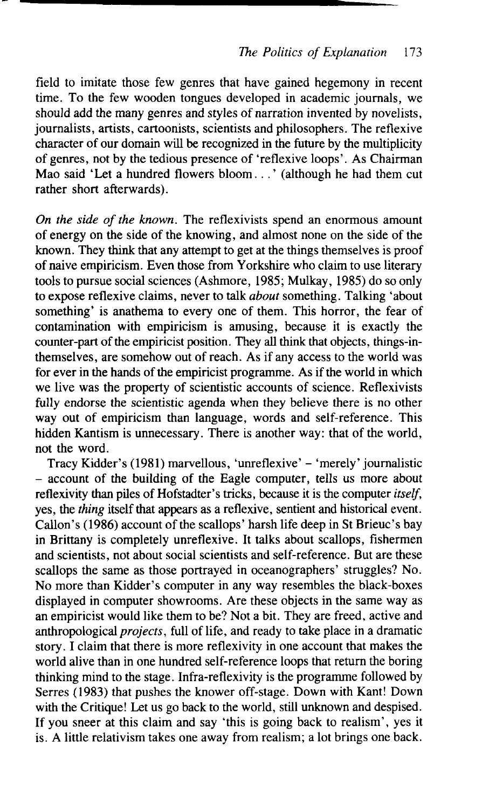field to imitate those few genres that have gained hegemony in recent time. To the few wooden tongues developed in academic journals, we should add the many genres and styles of narration invented by novelists, journalists, artists, cartoonists, scientists and philosophers. The reflexive character of our domain will be recognized in the future by the multiplicity of genres, not by the tedious presence of 'reflexive loops'. As Chairman Mao said 'Let a hundred flowers bloom ... ' (although he had them cut rather short afterwards).

*On the side of the known.* The reflexivists spend an enormous amount of energy on the side of the knowing, and almost none on the side of the known. They think that any attempt to get at the things themselves is proof of naive empiricism. Even those from Yorkshire who claim to use literary tools to pursue social sciences (Ashmore, 1985; Mu1kay, 1985) do so only to expose reflexive claims, never to talk *about* something. Talking 'about something' is anathema to every one of them. This horror, the fear of contamination with empiricism is amusing, because it is exactly the counter-part of the empiricist position. They all think that objects, things-inthemselves, are somehow out of reach. As if any access to the world was for ever in the hands of the empiricist programme. As if the world in which we live was the property of scientistic accounts of science. Reflexivists fully endorse the scientistic agenda when they believe there is no other way out of empiricism than language, words and self-reference. This hidden Kantism is unnecessary. There is another way: that of the world, not the word.

Tracy Kidder's (1981) marvellous, 'unreflexive'- 'merely' journalistic - account of the building of the Eagle computer, tells us more about reflexivity than piles of Hofstadter's tricks, because it is the computer *itself,*  yes, the *thing* itself that appears as a reflexive, sentient and historical event. Calion's (1986) account of the scallops' harsh life deep in St Brieuc's bay in Brittany is completely unreflexive. It talks about scallops, fishermen and scientists, not about social scientists and self-reference. But are these scallops the same as those portrayed in oceanographers' struggles? No. No more than Kidder's computer in any way resembles the black-boxes displayed in computer showrooms. Are these objects in the same way as an empiricist would like them to be? Not a bit. They are freed, active and anthropological *projects,* full of life, and ready to take place in a dramatic story. I claim that there is more reflexivity in one account that makes the world alive than in one hundred self-reference loops that return the boring thinking mind to the stage. Infra-reflexivity is the programme followed by Serres (1983) that pushes the knower off-stage. Down with Kant! Down with the Critique! Let us go back to the world, still unknown and despised. If you sneer at this claim and say 'this is going back to realism', yes it is. A little relativism takes one away from realism; a lot brings one back.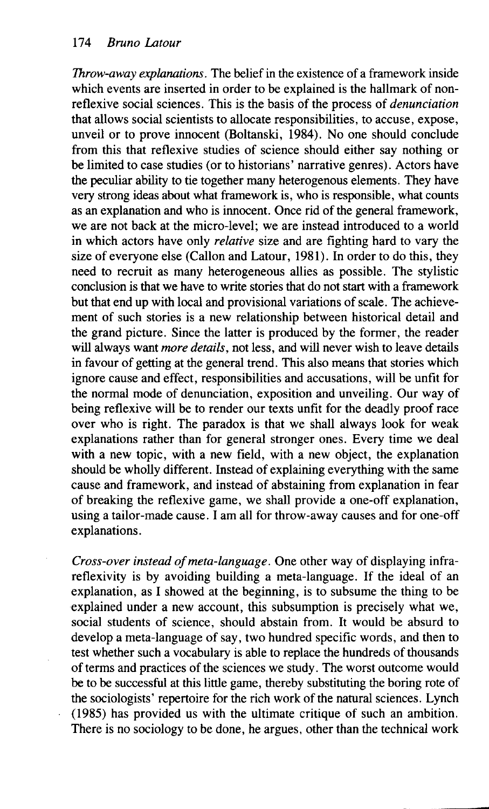*Throw-away expkmations.* The belief in the existence of a framework inside which events are inserted in order to be explained is the hallmark of nonreflexive social sciences. This is the basis of the process of *denunciation*  that allows social scientists to allocate responsibilities, to accuse, expose, unveil or to prove innocent (Boltanski, 1984). No one should conclude from this that reflexive studies of science should either say nothing or be limited to case studies (or to historians' narrative genres). Actors have the peculiar ability to tie together many heterogenous elements. They have very strong ideas about what framework is, who is responsible, what counts as an explanation and who is innocent. Once rid of the general framework, we are not back at the micro-level; we are instead introduced to a world in which actors have only *relative* size and are fighting hard to vary the size of everyone else (Calion and Latour, 1981). In order to do this, they need to recruit as many heterogeneous allies as possible. The stylistic conclusion is that we have to write stories that do not start with a framework but that end up with local and provisional variations of scale. The achievement of such stories is a new relationship between historical detail and the grand picture. Since the latter is produced by the former, the reader will always want *more details*, not less, and will never wish to leave details in favour of getting at the general trend. This also means that stories which ignore cause and effect, responsibilities and accusations, will be unfit for the normal mode of denunciation, exposition and unveiling. Our way of being reflexive will be to render our texts unfit for the deadly proof race over who is right. The paradox is that we shall always look for weak explanations rather than for general stronger ones. Every time we deal with a new topic, with a new field, with a new object, the explanation should be wholly different. Instead of explaining everything with the same cause and framework, and instead of abstaining from explanation in fear of breaking the reflexive game, we shall provide a one-off explanation, using a tailor-made cause. I am all for throw-away causes and for one-off explanations.

*Cross-over instead of meta-language.* One other way of displaying infrareflexivity is by avoiding building a meta-language. If the ideal of an explanation, as I showed at the beginning, is to subsume the thing to be explained under a new account, this subsumption is precisely what we, social students of science, should abstain from. It would be absurd to develop a meta-language of say, two hundred specific words, and then to test whether such a vocabulary is able to replace the hundreds of thousands of terms and practices of the sciences we study. The worst outcome would be to be successful at this little game, thereby substituting the boring rote of the sociologists' repertoire for the rich work of the natural sciences. Lynch (1985) has provided us with the ultimate critique of such an ambition. There is no sociology to be done, he argues, other than the technical work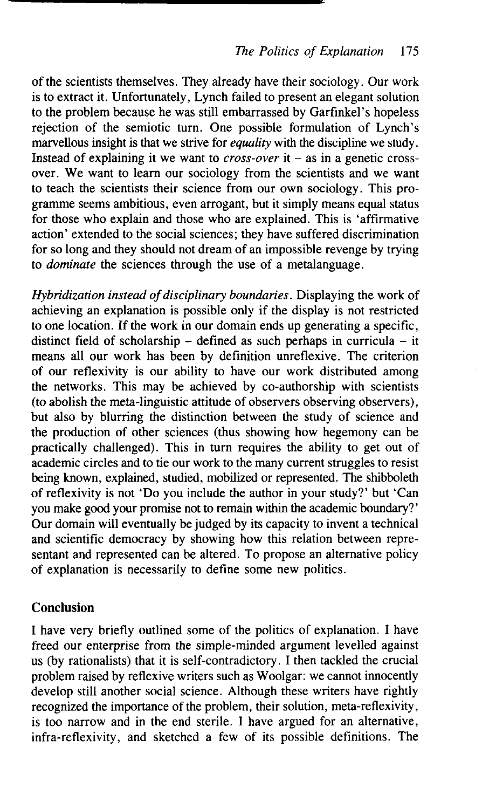of the scientists themselves. They already have their sociology. Our work is to extract it. Unfortunately, Lynch failed to present an elegant solution to the problem because he was still embarrassed by Garfinkel's hopeless rejection of the semiotic turn. One possible formulation of Lynch's marvellous insight is that we strive for *equality* with the discipline we study. Instead of explaining it we want to *cross-over* it  $-$  as in a genetic crossover. We want to learn our sociology from the scientists and we want to teach the scientists their science from our own sociology. This programme seems ambitious, even arrogant, but it simply means equal status for those who explain and those who are explained. This is 'affirmative action' extended to the social sciences; they have suffered discrimination for so long and they should not dream of an impossible revenge by trying to *dominate* the sciences through the use of a metalanguage.

*Hybridization instead of disciplinary boundaries.* Displaying the work of achieving an explanation is possible only if the display is not restricted to one location. If the work in our domain ends up generating a specific, distinct field of scholarship - defined as such perhaps in curricula - it means all our work has been by definition unreflexive. The criterion of our reflexivity is our ability to have our work distributed among the networks. This may be achieved by co-authorship with scientists (to abolish the meta-linguistic attitude of observers observing observers), but also by blurring the distinction between the study of science and the production of other sciences (thus showing how hegemony can be practically challenged). This in turn requires the ability to get out of academic circles and to tie our work to the many current struggles to resist being known, explained, studied, mobilized or represented. The shibboleth of reflexivity is not 'Do you include the author in your study?' but 'Can you make good your promise not to remain within the academic boundary?' Our domain will eventually be judged by its capacity to invent a technical and scientific democracy by showing how this relation between representant and represented can be altered. To propose an alternative policy of explanation is necessarily to define some new politics.

# **Conclusion**

I have very briefly outlined some of the politics of explanation. I have freed our enterprise from the simple-minded argument levelled against us (by rationalists) that it is self-contradictory. I then tackled the crucial problem raised by reflexive writers such as Woolgar: we cannot innocently develop still another social science. Although these writers have rightly recognized the importance of the problem, their solution, meta-reflexivity, is too narrow and in the end sterile. I have argued for an alternative, infra-reflexivity, and sketched a few of its possible definitions. The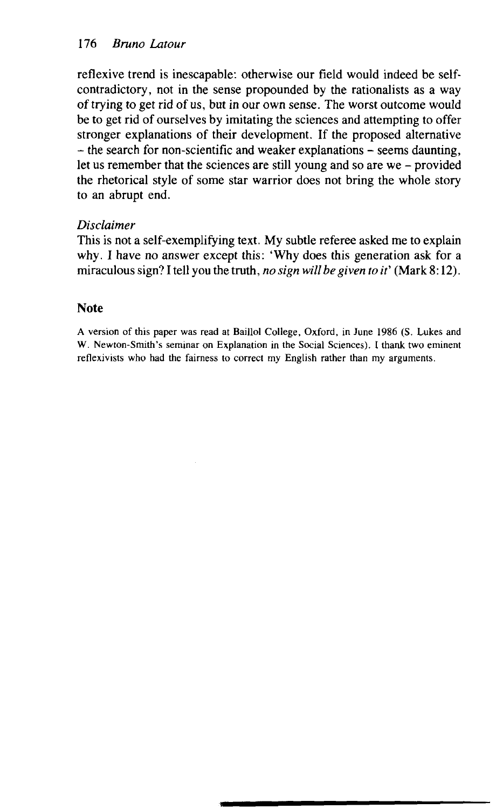# 176 *Bruno Latour*

reflexive trend is inescapable: otherwise our field would indeed be selfcontradictory, not in the sense propounded by the rationalists as a way of trying to get rid of us, but in our own sense. The worst outcome would be to get rid of ourselves by imitating the sciences and attempting to offer stronger explanations of their development. If the proposed alternative - the search for non-scientific and weaker explanations - seems daunting, let us remember that the sciences are still young and so are we - provided the rhetorical style of some star warrior does not bring the whole story to an abrupt end.

# *Disclaimer*

This is not a self-exemplifying text. My subtle referee asked me to explain why. I have no answer except this: 'Why does this generation ask for a miraculous sign? Itell you the truth, *no sign will be given to* it' (Mark 8: 12).

### **Note**

A version of this paper was read at Baillol College, Oxford. in June 1986 (S. Lukes and W. Newton-Smith's seminar on Explanation in the Social Sciences). I thank two eminent retlexivists who had the fairness to correct my English rather than my arguments.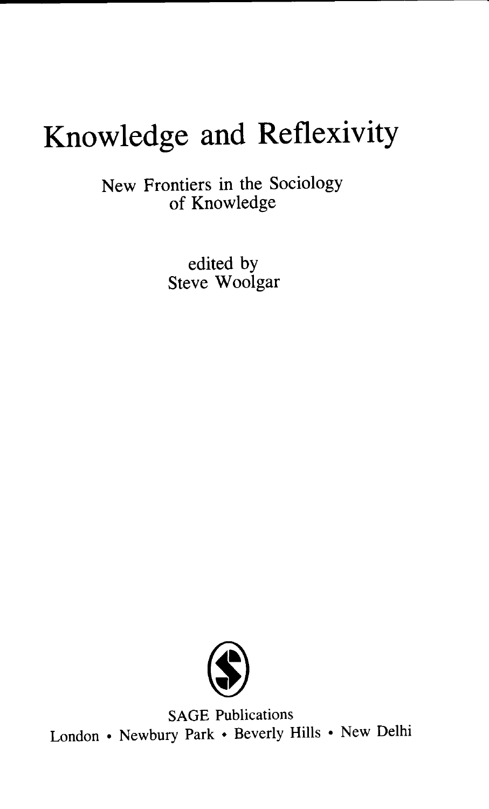# **Knowledge and Reflexivity**

New Frontiers in the Sociology of Knowledge

> edited by Steve Woolgar



SAGE Publications London • Newbury Park • Beverly Hills • New Delhi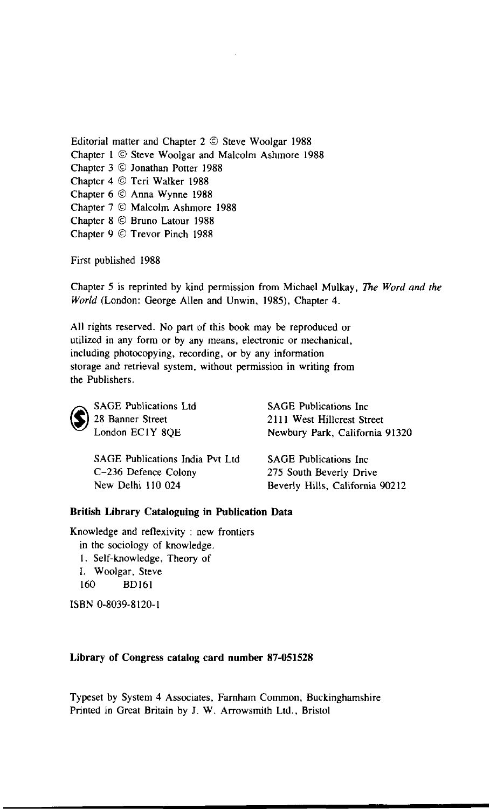Editorial matter and Chapter 2 © Steve Woolgar 1988 Chapter 1 © Steve Woolgar and Malcolm Ashmore 1988 Chapter 3 © Jonathan Potter 1988 Chapter 4 © Teri Walker 1988 Chapter 6 © Anna Wynne 1988 Chapter 7  $\odot$  Malcolm Ashmore 1988 Chapter 8 © Bruno Latour 1988 Chapter 9 © Trevor Pinch 1988

First published 1988

Chapter 5 is reprinted by kind permission from Michael Mulkay, *The Word and the World* (London: George Allen and Unwin, 1985), Chapter 4.

All rights reserved. No part of this book may be reproduced or utilized in any form or by any means, electronic or mechanical, including photocopying, recording, or by any information storage and retrieval system, without permission in writing from the Publishers.



**SAGE Publications Ltd** 28 Banner Street London ECIY 8QE

SAGE Publications Inc 2111 West Hillcrest Street Newbury Park, California 91320

SAGE Publications India Pvt Ltd C-236 Defence Colony New Delhi 110 024

SAGE Publications Inc 275 South Beverly Drive Beverly Hills, California 90212

#### British Library Cataloguing in Publication Data

Knowledge and reflexivity : new frontiers in the sociology of knowledge.

- I. Self-knowledge, Theory of I. Woolgar, Steve
- 160 BDI61

ISBN 0-8039-8120-1

#### Library of Congress catalog card number 87-051528

Typeset by System 4 Associates, Farnham Common, Buckinghamshire Printed in Great Britain by J. W. Arrowsmith Ltd., Bristol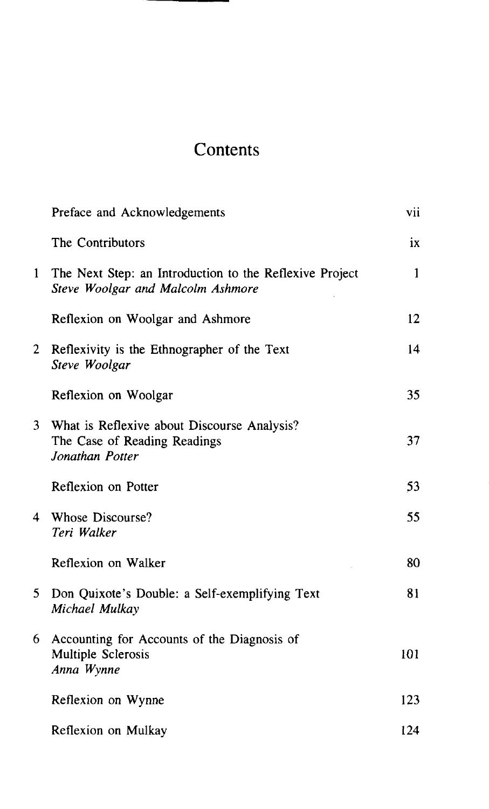# **Contents**

|              | Preface and Acknowledgements                                                                   | vii          |
|--------------|------------------------------------------------------------------------------------------------|--------------|
|              | The Contributors                                                                               | ix           |
| $\mathbf{1}$ | The Next Step: an Introduction to the Reflexive Project<br>Steve Woolgar and Malcolm Ashmore   | $\mathbf{1}$ |
|              | Reflexion on Woolgar and Ashmore                                                               | 12           |
| 2            | Reflexivity is the Ethnographer of the Text<br>Steve Woolgar                                   | 14           |
|              | Reflexion on Woolgar                                                                           | 35           |
| 3            | What is Reflexive about Discourse Analysis?<br>The Case of Reading Readings<br>Jonathan Potter | 37           |
|              | Reflexion on Potter                                                                            | 53           |
| 4            | Whose Discourse?<br>Teri Walker                                                                | 55           |
|              | Reflexion on Walker                                                                            | 80           |
| 5            | Don Quixote's Double: a Self-exemplifying Text<br>Michael Mulkay                               | 81           |
| 6            | Accounting for Accounts of the Diagnosis of<br>Multiple Sclerosis<br>Anna Wynne                | 101          |
|              | Reflexion on Wynne                                                                             | 123          |
|              | Reflexion on Mulkay                                                                            | 124          |